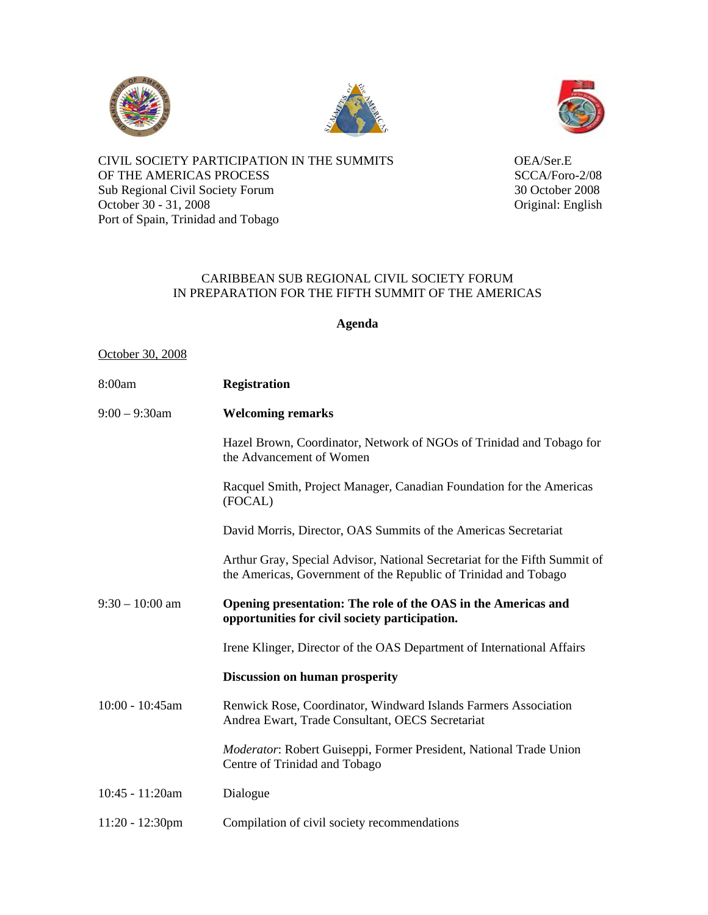





CIVIL SOCIETY PARTICIPATION IN THE SUMMITS OEA/Ser.E OF THE AMERICAS PROCESS SCCA/Foro-2/08 Sub Regional Civil Society Forum 30 October 2008<br>October 30 - 31, 2008<br>Original: English October 30 - 31, 2008 Port of Spain, Trinidad and Tobago

## CARIBBEAN SUB REGIONAL CIVIL SOCIETY FORUM IN PREPARATION FOR THE FIFTH SUMMIT OF THE AMERICAS

**Agenda** 

## October 30, 2008

| 8:00am             | <b>Registration</b>                                                                                                                           |
|--------------------|-----------------------------------------------------------------------------------------------------------------------------------------------|
| $9:00 - 9:30$ am   | <b>Welcoming remarks</b>                                                                                                                      |
|                    | Hazel Brown, Coordinator, Network of NGOs of Trinidad and Tobago for<br>the Advancement of Women                                              |
|                    | Racquel Smith, Project Manager, Canadian Foundation for the Americas<br>(FOCAL)                                                               |
|                    | David Morris, Director, OAS Summits of the Americas Secretariat                                                                               |
|                    | Arthur Gray, Special Advisor, National Secretariat for the Fifth Summit of<br>the Americas, Government of the Republic of Trinidad and Tobago |
| $9:30 - 10:00$ am  | Opening presentation: The role of the OAS in the Americas and<br>opportunities for civil society participation.                               |
|                    | Irene Klinger, Director of the OAS Department of International Affairs                                                                        |
|                    | <b>Discussion on human prosperity</b>                                                                                                         |
| 10:00 - 10:45am    | Renwick Rose, Coordinator, Windward Islands Farmers Association<br>Andrea Ewart, Trade Consultant, OECS Secretariat                           |
|                    | Moderator: Robert Guiseppi, Former President, National Trade Union<br>Centre of Trinidad and Tobago                                           |
| 10:45 - 11:20am    | Dialogue                                                                                                                                      |
| $11:20 - 12:30$ pm | Compilation of civil society recommendations                                                                                                  |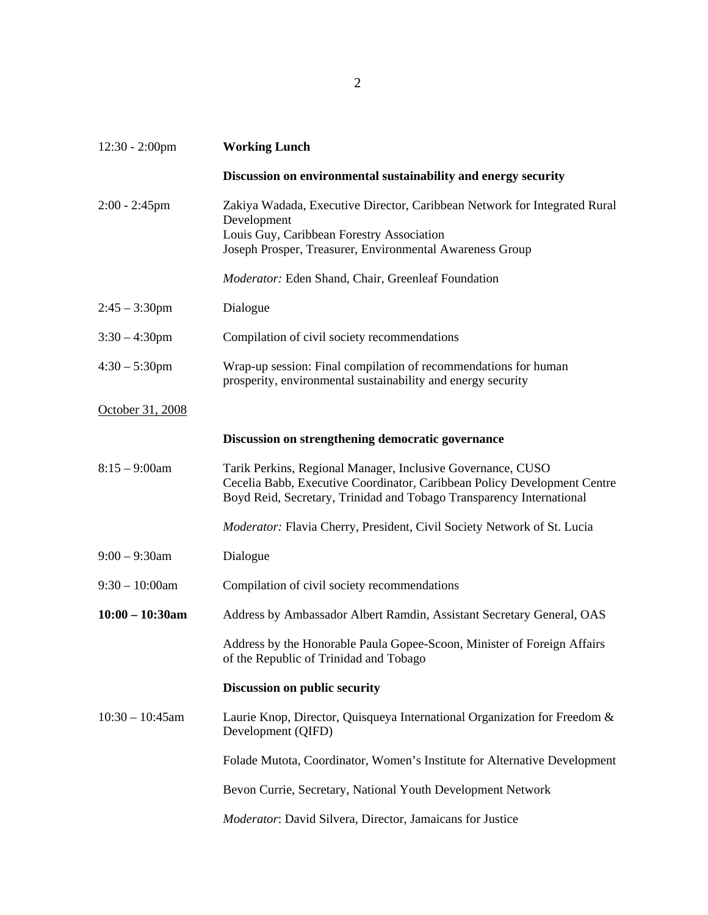| $12:30 - 2:00$ pm  | <b>Working Lunch</b>                                                                                                                                                                                            |
|--------------------|-----------------------------------------------------------------------------------------------------------------------------------------------------------------------------------------------------------------|
|                    | Discussion on environmental sustainability and energy security                                                                                                                                                  |
| $2:00 - 2:45$ pm   | Zakiya Wadada, Executive Director, Caribbean Network for Integrated Rural<br>Development<br>Louis Guy, Caribbean Forestry Association<br>Joseph Prosper, Treasurer, Environmental Awareness Group               |
|                    | Moderator: Eden Shand, Chair, Greenleaf Foundation                                                                                                                                                              |
| $2:45 - 3:30$ pm   | Dialogue                                                                                                                                                                                                        |
| $3:30 - 4:30$ pm   | Compilation of civil society recommendations                                                                                                                                                                    |
| $4:30 - 5:30$ pm   | Wrap-up session: Final compilation of recommendations for human<br>prosperity, environmental sustainability and energy security                                                                                 |
| October 31, 2008   |                                                                                                                                                                                                                 |
|                    | Discussion on strengthening democratic governance                                                                                                                                                               |
| $8:15 - 9:00$ am   | Tarik Perkins, Regional Manager, Inclusive Governance, CUSO<br>Cecelia Babb, Executive Coordinator, Caribbean Policy Development Centre<br>Boyd Reid, Secretary, Trinidad and Tobago Transparency International |
|                    | Moderator: Flavia Cherry, President, Civil Society Network of St. Lucia                                                                                                                                         |
| $9:00 - 9:30$ am   | Dialogue                                                                                                                                                                                                        |
| $9:30 - 10:00$ am  | Compilation of civil society recommendations                                                                                                                                                                    |
| $10:00 - 10:30$ am | Address by Ambassador Albert Ramdin, Assistant Secretary General, OAS                                                                                                                                           |
|                    | Address by the Honorable Paula Gopee-Scoon, Minister of Foreign Affairs<br>of the Republic of Trinidad and Tobago                                                                                               |
|                    | Discussion on public security                                                                                                                                                                                   |
| $10:30 - 10:45$ am | Laurie Knop, Director, Quisqueya International Organization for Freedom &<br>Development (QIFD)                                                                                                                 |
|                    | Folade Mutota, Coordinator, Women's Institute for Alternative Development                                                                                                                                       |
|                    | Bevon Currie, Secretary, National Youth Development Network                                                                                                                                                     |
|                    | Moderator: David Silvera, Director, Jamaicans for Justice                                                                                                                                                       |